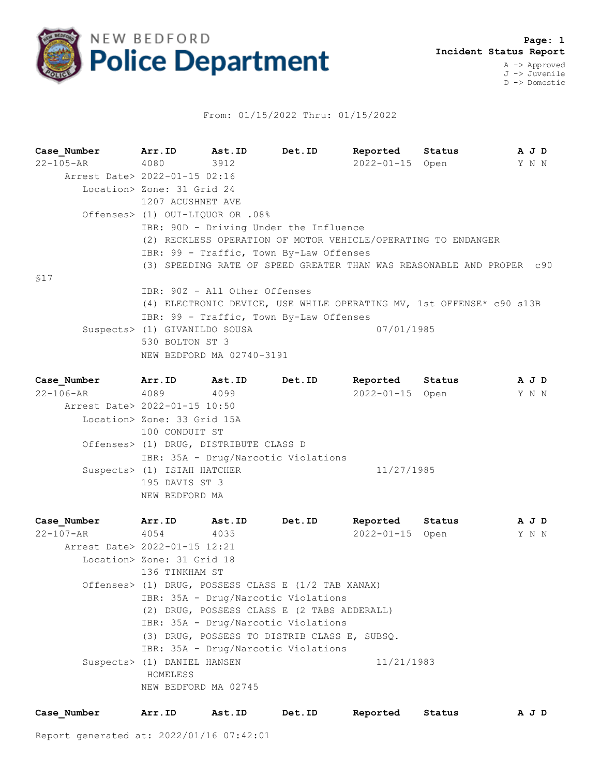

## From: 01/15/2022 Thru: 01/15/2022

**Case\_Number Arr.ID Ast.ID Det.ID Reported Status A J D** 22-105-AR 4080 3912 2022-01-15 Open Y N N Arrest Date> 2022-01-15 02:16 Location> Zone: 31 Grid 24 1207 ACUSHNET AVE Offenses> (1) OUI-LIQUOR OR .08% IBR: 90D - Driving Under the Influence (2) RECKLESS OPERATION OF MOTOR VEHICLE/OPERATING TO ENDANGER IBR: 99 - Traffic, Town By-Law Offenses (3) SPEEDING RATE OF SPEED GREATER THAN WAS REASONABLE AND PROPER c90 §17 IBR: 90Z - All Other Offenses (4) ELECTRONIC DEVICE, USE WHILE OPERATING MV, 1st OFFENSE\* c90 s13B IBR: 99 - Traffic, Town By-Law Offenses Suspects> (1) GIVANILDO SOUSA 07/01/1985 530 BOLTON ST 3 NEW BEDFORD MA 02740-3191

| Case Number                   | Arr.ID                      | Ast.ID                                 | Det.ID                              | Reported        | Status | A J D |  |
|-------------------------------|-----------------------------|----------------------------------------|-------------------------------------|-----------------|--------|-------|--|
| 22-106-AR                     | 4089                        | 4099                                   |                                     | 2022-01-15 Open |        | Y N N |  |
| Arrest Date> 2022-01-15 10:50 |                             |                                        |                                     |                 |        |       |  |
|                               | Location> Zone: 33 Grid 15A |                                        |                                     |                 |        |       |  |
|                               | 100 CONDUIT ST              |                                        |                                     |                 |        |       |  |
|                               |                             | Offenses> (1) DRUG, DISTRIBUTE CLASS D |                                     |                 |        |       |  |
|                               |                             |                                        | IBR: 35A - Drug/Narcotic Violations |                 |        |       |  |
|                               | Suspects> (1) ISIAH HATCHER |                                        |                                     | 11/27/1985      |        |       |  |
|                               | 195 DAVIS ST 3              |                                        |                                     |                 |        |       |  |
|                               | NEW BEDFORD MA              |                                        |                                     |                 |        |       |  |
|                               |                             |                                        |                                     |                 |        |       |  |

| Case Number                   | Arr.ID                      | Ast.ID                                              | Det.ID | Reported        | Status |  |  | A J D |  |  |
|-------------------------------|-----------------------------|-----------------------------------------------------|--------|-----------------|--------|--|--|-------|--|--|
| 22-107-AR                     | 4054 4035                   |                                                     |        | 2022-01-15 Open |        |  |  | Y N N |  |  |
| Arrest Date> 2022-01-15 12:21 |                             |                                                     |        |                 |        |  |  |       |  |  |
|                               | Location> Zone: 31 Grid 18  |                                                     |        |                 |        |  |  |       |  |  |
|                               | 136 TINKHAM ST              |                                                     |        |                 |        |  |  |       |  |  |
|                               |                             | Offenses> (1) DRUG, POSSESS CLASS E (1/2 TAB XANAX) |        |                 |        |  |  |       |  |  |
|                               |                             | IBR: 35A - Drug/Narcotic Violations                 |        |                 |        |  |  |       |  |  |
|                               |                             | (2) DRUG, POSSESS CLASS E (2 TABS ADDERALL)         |        |                 |        |  |  |       |  |  |
|                               |                             | IBR: 35A - Drug/Narcotic Violations                 |        |                 |        |  |  |       |  |  |
|                               |                             | (3) DRUG, POSSESS TO DISTRIB CLASS E, SUBSO.        |        |                 |        |  |  |       |  |  |
|                               |                             | IBR: 35A - Drug/Narcotic Violations                 |        |                 |        |  |  |       |  |  |
|                               | Suspects> (1) DANIEL HANSEN |                                                     |        | 11/21/1983      |        |  |  |       |  |  |
|                               | HOMELESS                    |                                                     |        |                 |        |  |  |       |  |  |
|                               | NEW BEDFORD MA 02745        |                                                     |        |                 |        |  |  |       |  |  |
|                               |                             |                                                     |        |                 |        |  |  |       |  |  |

| Case Number | Arr.ID | Ast.ID | <b>Det.ID</b> | Reported Status |  | AJD |
|-------------|--------|--------|---------------|-----------------|--|-----|
|-------------|--------|--------|---------------|-----------------|--|-----|